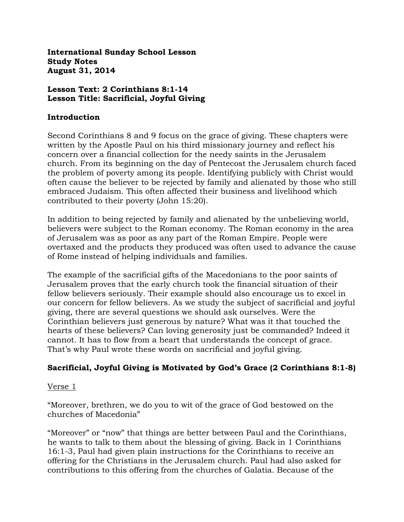**International Sunday School Lesson Study Notes August 31, 2014**

#### **Lesson Text: 2 Corinthians 8:1-14 Lesson Title: Sacrificial, Joyful Giving**

#### **Introduction**

Second Corinthians 8 and 9 focus on the grace of giving. These chapters were written by the Apostle Paul on his third missionary journey and reflect his concern over a financial collection for the needy saints in the Jerusalem church. From its beginning on the day of Pentecost the Jerusalem church faced the problem of poverty among its people. Identifying publicly with Christ would often cause the believer to be rejected by family and alienated by those who still embraced Judaism. This often affected their business and livelihood which contributed to their poverty (John 15:20).

In addition to being rejected by family and alienated by the unbelieving world, believers were subject to the Roman economy. The Roman economy in the area of Jerusalem was as poor as any part of the Roman Empire. People were overtaxed and the products they produced was often used to advance the cause of Rome instead of helping individuals and families.

The example of the sacrificial gifts of the Macedonians to the poor saints of Jerusalem proves that the early church took the financial situation of their fellow believers seriously. Their example should also encourage us to excel in our concern for fellow believers. As we study the subject of sacrificial and joyful giving, there are several questions we should ask ourselves. Were the Corinthian believers just generous by nature? What was it that touched the hearts of these believers? Can loving generosity just be commanded? Indeed it cannot. It has to flow from a heart that understands the concept of grace. That's why Paul wrote these words on sacrificial and joyful giving.

# **Sacrificial, Joyful Giving is Motivated by God's Grace (2 Corinthians 8:1-8)**

#### Verse 1

"Moreover, brethren, we do you to wit of the grace of God bestowed on the churches of Macedonia"

"Moreover" or "now" that things are better between Paul and the Corinthians, he wants to talk to them about the blessing of giving. Back in 1 Corinthians 16:1-3, Paul had given plain instructions for the Corinthians to receive an offering for the Christians in the Jerusalem church. Paul had also asked for contributions to this offering from the churches of Galatia. Because of the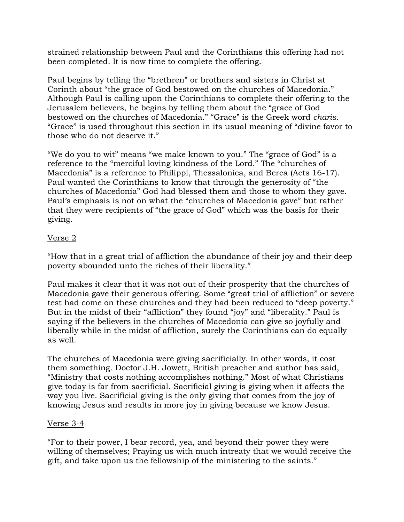strained relationship between Paul and the Corinthians this offering had not been completed. It is now time to complete the offering.

Paul begins by telling the "brethren" or brothers and sisters in Christ at Corinth about "the grace of God bestowed on the churches of Macedonia." Although Paul is calling upon the Corinthians to complete their offering to the Jerusalem believers, he begins by telling them about the "grace of God bestowed on the churches of Macedonia." "Grace" is the Greek word *charis.*  "Grace" is used throughout this section in its usual meaning of "divine favor to those who do not deserve it."

"We do you to wit" means "we make known to you." The "grace of God" is a reference to the "merciful loving kindness of the Lord." The "churches of Macedonia" is a reference to Philippi, Thessalonica, and Berea (Acts 16-17). Paul wanted the Corinthians to know that through the generosity of "the churches of Macedonia" God had blessed them and those to whom they gave. Paul's emphasis is not on what the "churches of Macedonia gave" but rather that they were recipients of "the grace of God" which was the basis for their giving.

## Verse 2

"How that in a great trial of affliction the abundance of their joy and their deep poverty abounded unto the riches of their liberality."

Paul makes it clear that it was not out of their prosperity that the churches of Macedonia gave their generous offering. Some "great trial of affliction" or severe test had come on these churches and they had been reduced to "deep poverty." But in the midst of their "affliction" they found "joy" and "liberality." Paul is saying if the believers in the churches of Macedonia can give so joyfully and liberally while in the midst of affliction, surely the Corinthians can do equally as well.

The churches of Macedonia were giving sacrificially. In other words, it cost them something. Doctor J.H. Jowett, British preacher and author has said, "Ministry that costs nothing accomplishes nothing." Most of what Christians give today is far from sacrificial. Sacrificial giving is giving when it affects the way you live. Sacrificial giving is the only giving that comes from the joy of knowing Jesus and results in more joy in giving because we know Jesus.

#### Verse 3-4

"For to their power, I bear record, yea, and beyond their power they were willing of themselves; Praying us with much intreaty that we would receive the gift, and take upon us the fellowship of the ministering to the saints."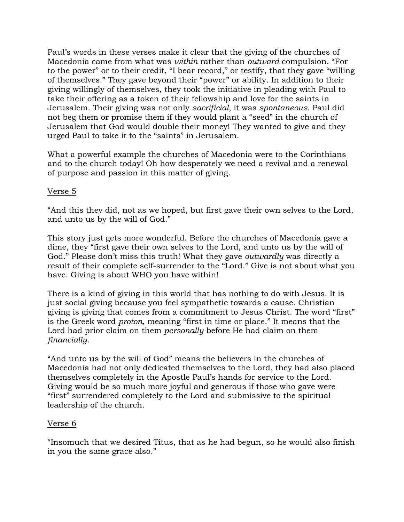Paul's words in these verses make it clear that the giving of the churches of Macedonia came from what was *within* rather than *outward* compulsion. "For to the power" or to their credit, "I bear record," or testify, that they gave "willing of themselves." They gave beyond their "power" or ability. In addition to their giving willingly of themselves, they took the initiative in pleading with Paul to take their offering as a token of their fellowship and love for the saints in Jerusalem. Their giving was not only *sacrificial*, it was *spontaneous*. Paul did not beg them or promise them if they would plant a "seed" in the church of Jerusalem that God would double their money! They wanted to give and they urged Paul to take it to the "saints" in Jerusalem.

What a powerful example the churches of Macedonia were to the Corinthians and to the church today! Oh how desperately we need a revival and a renewal of purpose and passion in this matter of giving.

### Verse 5

"And this they did, not as we hoped, but first gave their own selves to the Lord, and unto us by the will of God."

This story just gets more wonderful. Before the churches of Macedonia gave a dime, they "first gave their own selves to the Lord, and unto us by the will of God." Please don't miss this truth! What they gave *outwardly* was directly a result of their complete self-surrender to the "Lord." Give is not about what you have. Giving is about WHO you have within!

There is a kind of giving in this world that has nothing to do with Jesus. It is just social giving because you feel sympathetic towards a cause. Christian giving is giving that comes from a commitment to Jesus Christ. The word "first" is the Greek word *proton*, meaning "first in time or place." It means that the Lord had prior claim on them *personally* before He had claim on them *financially*.

"And unto us by the will of God" means the believers in the churches of Macedonia had not only dedicated themselves to the Lord, they had also placed themselves completely in the Apostle Paul's hands for service to the Lord. Giving would be so much more joyful and generous if those who gave were "first" surrendered completely to the Lord and submissive to the spiritual leadership of the church.

#### Verse 6

"Insomuch that we desired Titus, that as he had begun, so he would also finish in you the same grace also."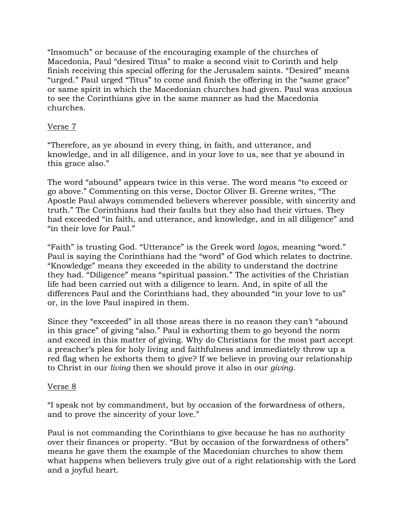"Insomuch" or because of the encouraging example of the churches of Macedonia, Paul "desired Titus" to make a second visit to Corinth and help finish receiving this special offering for the Jerusalem saints. "Desired" means "urged." Paul urged "Titus" to come and finish the offering in the "same grace" or same spirit in which the Macedonian churches had given. Paul was anxious to see the Corinthians give in the same manner as had the Macedonia churches.

## Verse 7

"Therefore, as ye abound in every thing, in faith, and utterance, and knowledge, and in all diligence, and in your love to us, see that ye abound in this grace also."

The word "abound" appears twice in this verse. The word means "to exceed or go above." Commenting on this verse, Doctor Oliver B. Greene writes, "The Apostle Paul always commended believers wherever possible, with sincerity and truth." The Corinthians had their faults but they also had their virtues. They had exceeded "in faith, and utterance, and knowledge, and in all diligence" and "in their love for Paul."

"Faith" is trusting God. "Utterance" is the Greek word *logos*, meaning "word." Paul is saying the Corinthians had the "word" of God which relates to doctrine. "Knowledge" means they exceeded in the ability to understand the doctrine they had. "Diligence" means "spiritual passion." The activities of the Christian life had been carried out with a diligence to learn. And, in spite of all the differences Paul and the Corinthians had, they abounded "in your love to us" or, in the love Paul inspired in them.

Since they "exceeded" in all those areas there is no reason they can't "abound in this grace" of giving "also." Paul is exhorting them to go beyond the norm and exceed in this matter of giving. Why do Christians for the most part accept a preacher's plea for holy living and faithfulness and immediately throw up a red flag when he exhorts them to give? If we believe in proving our relationship to Christ in our *living* then we should prove it also in our *giving*.

## Verse 8

"I speak not by commandment, but by occasion of the forwardness of others, and to prove the sincerity of your love."

Paul is not commanding the Corinthians to give because he has no authority over their finances or property. "But by occasion of the forwardness of others" means he gave them the example of the Macedonian churches to show them what happens when believers truly give out of a right relationship with the Lord and a joyful heart.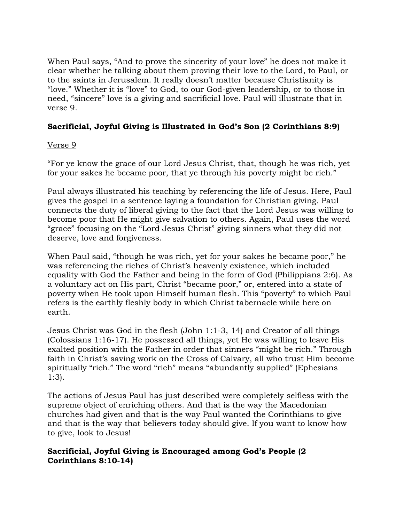When Paul says, "And to prove the sincerity of your love" he does not make it clear whether he talking about them proving their love to the Lord, to Paul, or to the saints in Jerusalem. It really doesn't matter because Christianity is "love." Whether it is "love" to God, to our God-given leadership, or to those in need, "sincere" love is a giving and sacrificial love. Paul will illustrate that in verse 9.

# **Sacrificial, Joyful Giving is Illustrated in God's Son (2 Corinthians 8:9)**

## Verse 9

"For ye know the grace of our Lord Jesus Christ, that, though he was rich, yet for your sakes he became poor, that ye through his poverty might be rich."

Paul always illustrated his teaching by referencing the life of Jesus. Here, Paul gives the gospel in a sentence laying a foundation for Christian giving. Paul connects the duty of liberal giving to the fact that the Lord Jesus was willing to become poor that He might give salvation to others. Again, Paul uses the word "grace" focusing on the "Lord Jesus Christ" giving sinners what they did not deserve, love and forgiveness.

When Paul said, "though he was rich, yet for your sakes he became poor," he was referencing the riches of Christ's heavenly existence, which included equality with God the Father and being in the form of God (Philippians 2:6). As a voluntary act on His part, Christ "became poor," or, entered into a state of poverty when He took upon Himself human flesh. This "poverty" to which Paul refers is the earthly fleshly body in which Christ tabernacle while here on earth.

Jesus Christ was God in the flesh (John 1:1-3, 14) and Creator of all things (Colossians 1:16-17). He possessed all things, yet He was willing to leave His exalted position with the Father in order that sinners "might be rich." Through faith in Christ's saving work on the Cross of Calvary, all who trust Him become spiritually "rich." The word "rich" means "abundantly supplied" (Ephesians 1:3).

The actions of Jesus Paul has just described were completely selfless with the supreme object of enriching others. And that is the way the Macedonian churches had given and that is the way Paul wanted the Corinthians to give and that is the way that believers today should give. If you want to know how to give, look to Jesus!

## **Sacrificial, Joyful Giving is Encouraged among God's People (2 Corinthians 8:10-14)**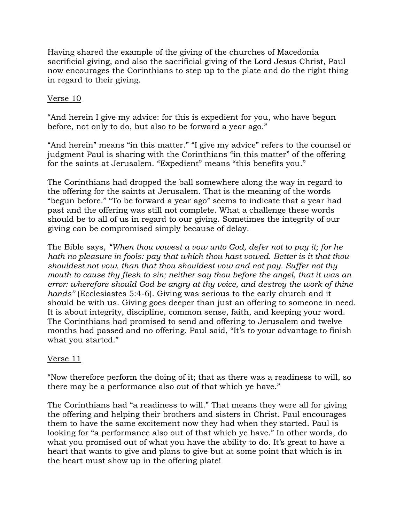Having shared the example of the giving of the churches of Macedonia sacrificial giving, and also the sacrificial giving of the Lord Jesus Christ, Paul now encourages the Corinthians to step up to the plate and do the right thing in regard to their giving.

### Verse 10

"And herein I give my advice: for this is expedient for you, who have begun before, not only to do, but also to be forward a year ago."

"And herein" means "in this matter." "I give my advice" refers to the counsel or judgment Paul is sharing with the Corinthians "in this matter" of the offering for the saints at Jerusalem. "Expedient" means "this benefits you."

The Corinthians had dropped the ball somewhere along the way in regard to the offering for the saints at Jerusalem. That is the meaning of the words "begun before." "To be forward a year ago" seems to indicate that a year had past and the offering was still not complete. What a challenge these words should be to all of us in regard to our giving. Sometimes the integrity of our giving can be compromised simply because of delay.

The Bible says, *"When thou vowest a vow unto God, defer not to pay it; for he hath no pleasure in fools: pay that which thou hast vowed. Better is it that thou shouldest not vow, than that thou shouldest vow and not pay. Suffer not thy mouth to cause thy flesh to sin; neither say thou before the angel, that it was an error: wherefore should God be angry at thy voice, and destroy the work of thine hands"* (Ecclesiastes 5:4-6). Giving was serious to the early church and it should be with us. Giving goes deeper than just an offering to someone in need. It is about integrity, discipline, common sense, faith, and keeping your word. The Corinthians had promised to send and offering to Jerusalem and twelve months had passed and no offering. Paul said, "It's to your advantage to finish what you started."

## Verse 11

"Now therefore perform the doing of it; that as there was a readiness to will, so there may be a performance also out of that which ye have."

The Corinthians had "a readiness to will." That means they were all for giving the offering and helping their brothers and sisters in Christ. Paul encourages them to have the same excitement now they had when they started. Paul is looking for "a performance also out of that which ye have." In other words, do what you promised out of what you have the ability to do. It's great to have a heart that wants to give and plans to give but at some point that which is in the heart must show up in the offering plate!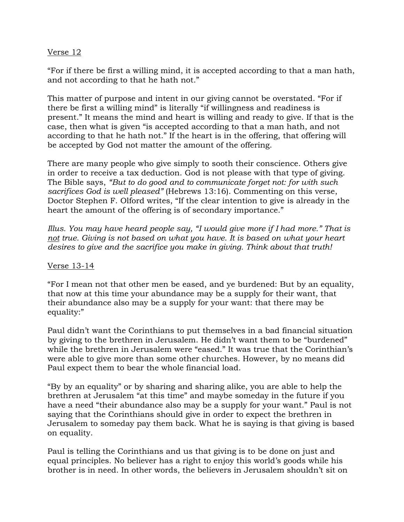### Verse 12

"For if there be first a willing mind, it is accepted according to that a man hath, and not according to that he hath not."

This matter of purpose and intent in our giving cannot be overstated. "For if there be first a willing mind" is literally "if willingness and readiness is present." It means the mind and heart is willing and ready to give. If that is the case, then what is given "is accepted according to that a man hath, and not according to that he hath not." If the heart is in the offering, that offering will be accepted by God not matter the amount of the offering.

There are many people who give simply to sooth their conscience. Others give in order to receive a tax deduction. God is not please with that type of giving. The Bible says, *"But to do good and to communicate forget not: for with such sacrifices God is well pleased"* (Hebrews 13:16). Commenting on this verse, Doctor Stephen F. Olford writes, "If the clear intention to give is already in the heart the amount of the offering is of secondary importance."

*Illus. You may have heard people say, "I would give more if I had more." That is not true. Giving is not based on what you have. It is based on what your heart desires to give and the sacrifice you make in giving. Think about that truth!*

#### Verse 13-14

"For I mean not that other men be eased, and ye burdened: But by an equality, that now at this time your abundance may be a supply for their want, that their abundance also may be a supply for your want: that there may be equality:"

Paul didn't want the Corinthians to put themselves in a bad financial situation by giving to the brethren in Jerusalem. He didn't want them to be "burdened" while the brethren in Jerusalem were "eased." It was true that the Corinthian's were able to give more than some other churches. However, by no means did Paul expect them to bear the whole financial load.

"By by an equality" or by sharing and sharing alike, you are able to help the brethren at Jerusalem "at this time" and maybe someday in the future if you have a need "their abundance also may be a supply for your want." Paul is not saying that the Corinthians should give in order to expect the brethren in Jerusalem to someday pay them back. What he is saying is that giving is based on equality.

Paul is telling the Corinthians and us that giving is to be done on just and equal principles. No believer has a right to enjoy this world's goods while his brother is in need. In other words, the believers in Jerusalem shouldn't sit on